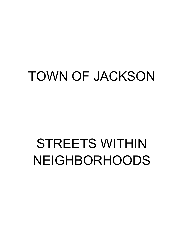## TOWN OF JACKSON

# STREETS WITHIN NEIGHBORHOODS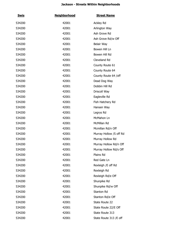| <b>Swis</b> | <b>Neighborhood</b> | <b>Street Name</b>      |
|-------------|---------------------|-------------------------|
| 534200      | 42001               | Ackley Rd               |
| 534200      | 42001               | Arlington Way           |
| 534200      | 42001               | Ash Grove Rd            |
| 534200      | 42001               | Ash Grove Rd/w Off      |
| 534200      | 42001               | Belair Way              |
| 534200      | 42001               | Bowen Hill Ln           |
| 534200      | 42001               | Bowen Hill Rd           |
| 534200      | 42001               | Cleveland Rd            |
| 534200      | 42001               | County Route 61         |
| 534200      | 42001               | County Route 64         |
| 534200      | 42001               | County Route 64 /off    |
| 534200      | 42001               | Dead Dog Way            |
| 534200      | 42001               | Dobbin Hill Rd          |
| 534200      | 42001               | Driscoll Way            |
| 534200      | 42001               | Eagleville Rd           |
| 534200      | 42001               | Fish Hatchery Rd        |
| 534200      | 42001               | Hansen Way              |
| 534200      | 42001               | Legrys Rd               |
| 534200      | 42001               | McMahon Ln              |
| 534200      | 42001               | McMillan Rd             |
| 534200      | 42001               | Mcmillan Rd/n Off       |
| 534200      | 42001               | Murray Hollow /S off Rd |
| 534200      | 42001               | Murray Hollow Rd        |
| 534200      | 42001               | Murray Hollow Rd/n Off  |
| 534200      | 42001               | Murray Hollow Rd/s Off  |
| 534200      | 42001               | Plains Rd               |
| 534200      | 42001               | Red Gate Ln             |
| 534200      | 42001               | Rexleigh / E off Rd     |
| 534200      | 42001               | Rexleigh Rd             |
| 534200      | 42001               | Rexleigh Rd/e Off       |
| 534200      | 42001               | Shunpike Rd             |
| 534200      | 42001               | Shunpike Rd/w Off       |
| 534200      | 42001               | Stanton Rd              |
| 534200      | 42001               | Stanton Rd/e Off        |
| 534200      | 42001               | State Route 22          |
| 534200      | 42001               | State Route 22/E Off    |
| 534200      | 42001               | State Route 313         |
| 534200      | 42001               | State Route 313 /E off  |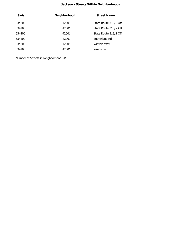| <b>Swis</b> | <b>Neighborhood</b> | <b>Street Name</b>    |
|-------------|---------------------|-----------------------|
| 534200      | 42001               | State Route 313/E Off |
| 534200      | 42001               | State Route 313/N Off |
| 534200      | 42001               | State Route 313/S Off |
| 534200      | 42001               | Sutherland Rd         |
| 534200      | 42001               | Winters Way           |
| 534200      | 42001               | Wrens Ln              |
|             |                     |                       |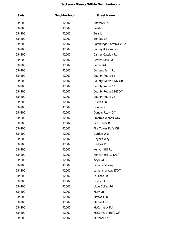| <u>Swis</u> | <b>Neighborhood</b> | <b>Street Name</b>       |
|-------------|---------------------|--------------------------|
| 534200      | 42002               | Andrews Ln               |
| 534200      | 42002               | Beede Ln                 |
| 534200      | 42002               | Bells Ln                 |
| 534200      | 42002               | Bentley Ln               |
| 534200      | 42002               | Cambridge-Battenville Rd |
| 534200      | 42002               | Carney & Cassidy Rd      |
| 534200      | 42002               | Carney Cassidy Rd        |
| 534200      | 42002               | Center Falls Rd          |
| 534200      | 42002               | Colfax Rd                |
| 534200      | 42002               | Content Farm Rd          |
| 534200      | 42002               | County Route 61          |
| 534200      | 42002               | County Route 61/N Off    |
| 534200      | 42002               | County Route 62          |
| 534200      | 42002               | County Route 62/E Off    |
| 534200      | 42002               | County Route 78          |
| 534200      | 42002               | Duelles Ln               |
| 534200      | 42002               | Dunbar Rd                |
| 534200      | 42002               | Dunbar Rd/w Off          |
| 534200      | 42002               | Emerald Woods Way        |
| 534200      | 42002               | Fire Tower Rd            |
| 534200      | 42002               | Fire Tower Rd/e Off      |
| 534200      | 42002               | Gordon Way               |
| 534200      | 42002               | Haynes Way               |
| 534200      | 42002               | Hedges Rd                |
| 534200      | 42002               | Kenyon Hill Rd           |
| 534200      | 42002               | Kenyon Hill Rd S/off     |
| 534200      | 42002               | Keys Rd                  |
| 534200      | 42002               | Lamancha Way             |
| 534200      | 42002               | Lamancha Way E/Off       |
| 534200      | 42002               | Lauzons Ln               |
| 534200      | 42002               | Lewis Hill Ln            |
| 534200      | 42002               | Little Colfax Rd         |
| 534200      | 42002               | Mary Ln                  |
| 534200      | 42002               | Maxwell Ln               |
| 534200      | 42002               | Maxwell Rd               |
| 534200      | 42002               | McCormack Rd             |
| 534200      | 42002               | McCormack Rd/s Off       |
| 534200      | 42002               | Murdock Ln               |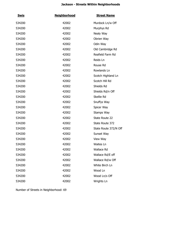| <b>Swis</b> | <b>Neighborhood</b> | <b>Street Name</b>    |
|-------------|---------------------|-----------------------|
| 534200      | 42002               | Murdock Ln/w Off      |
| 534200      | 42002               | Murphys Rd            |
| 534200      | 42002               | Nealy Way             |
| 534200      | 42002               | Obrien Way            |
| 534200      | 42002               | Odin Way              |
| 534200      | 42002               | Old Cambridge Rd      |
| 534200      | 42002               | Reafield Farm Rd      |
| 534200      | 42002               | Reids Ln              |
| 534200      | 42002               | Rouse Rd              |
| 534200      | 42002               | Rowlands Ln           |
| 534200      | 42002               | Scotch Highland Ln    |
| 534200      | 42002               | Scotch Hill Rd        |
| 534200      | 42002               | Shields Rd            |
| 534200      | 42002               | Shields Rd/n Off      |
| 534200      | 42002               | Skellie Rd            |
| 534200      | 42002               | Snuffys Way           |
| 534200      | 42002               | Spicer Way            |
| 534200      | 42002               | Stamps Way            |
| 534200      | 42002               | State Route 22        |
| 534200      | 42002               | State Route 372       |
| 534200      | 42002               | State Route 372/N Off |
| 534200      | 42002               | Sunset Way            |
| 534200      | 42002               | View Way              |
| 534200      | 42002               | Waites Ln             |
| 534200      | 42002               | <b>Wallace Rd</b>     |
| 534200      | 42002               | Wallace Rd/E off      |
| 534200      | 42002               | Wallace Rd/w Off      |
| 534200      | 42002               | White Birch Ln        |
| 534200      | 42002               | Wood Ln               |
| 534200      | 42002               | Wood Ln/s Off         |
| 534200      | 42002               | Wrights Ln            |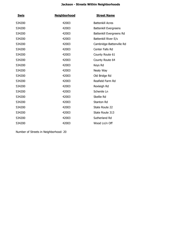| <b>Swis</b> | <b>Neighborhood</b> | <b>Street Name</b>           |
|-------------|---------------------|------------------------------|
| 534200      | 42003               | <b>Battenkill Acres</b>      |
| 534200      | 42003               | <b>Battenkill Evergreens</b> |
| 534200      | 42003               | Battenkill Evergreens Rd     |
| 534200      | 42003               | Battenkill River E/s         |
| 534200      | 42003               | Cambridge-Battenville Rd     |
| 534200      | 42003               | Center Falls Rd              |
| 534200      | 42003               | County Route 61              |
| 534200      | 42003               | County Route 64              |
| 534200      | 42003               | Keys Rd                      |
| 534200      | 42003               | Nealy Way                    |
| 534200      | 42003               | Old Bridge Rd                |
| 534200      | 42003               | Reafield Farm Rd             |
| 534200      | 42003               | Rexleigh Rd                  |
| 534200      | 42003               | Schenile Ln                  |
| 534200      | 42003               | Skellie Rd                   |
| 534200      | 42003               | Stanton Rd                   |
| 534200      | 42003               | State Route 22               |
| 534200      | 42003               | State Route 313              |
| 534200      | 42003               | Sutherland Rd                |
| 534200      | 42003               | Wood Ln/n Off                |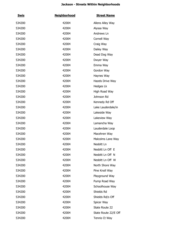| <u>Swis</u> | <b>Neighborhood</b> | <b>Street Name</b>   |
|-------------|---------------------|----------------------|
| 534200      | 42004               | Allens Alley Way     |
| 534200      | 42004               | Alyssa Way           |
| 534200      | 42004               | Andrews Ln           |
| 534200      | 42004               | Cornell Way          |
| 534200      | 42004               | Craig Way            |
| 534200      | 42004               | Dailey Way           |
| 534200      | 42004               | Dead Dog Way         |
| 534200      | 42004               | Dwyer Way            |
| 534200      | 42004               | Emma Way             |
| 534200      | 42004               | Gordon Way           |
| 534200      | 42004               | Haynes Way           |
| 534200      | 42004               | Hazels Drive Way     |
| 534200      | 42004               | Hedges Lk            |
| 534200      | 42004               | High Road Way        |
| 534200      | 42004               | Johnson Rd           |
| 534200      | 42004               | Kennedy Rd Off       |
| 534200      | 42004               | Lake Lauderdale/in   |
| 534200      | 42004               | Lakeside Way         |
| 534200      | 42004               | Lakeview Way         |
| 534200      | 42004               | Lamancha Way         |
| 534200      | 42004               | Lauderdale Loop      |
| 534200      | 42004               | Macehren Way         |
| 534200      | 42004               | Malcolms Lane Way    |
| 534200      | 42004               | Nesbitt Ln           |
| 534200      | 42004               | Nesbitt Ln Off E     |
| 534200      | 42004               | Nesbitt Ln Off N     |
| 534200      | 42004               | Nesbitt Ln Off W     |
| 534200      | 42004               | North Shore Way      |
| 534200      | 42004               | Pine Knoll Way       |
| 534200      | 42004               | Playground Way       |
| 534200      | 42004               | Pump Road Way        |
| 534200      | 42004               | Schoolhouse Way      |
| 534200      | 42004               | Shields Rd           |
| 534200      | 42004               | Shields Rd/s Off     |
| 534200      | 42004               | Spicer Way           |
| 534200      | 42004               | State Route 22       |
| 534200      | 42004               | State Route 22/E Off |
| 534200      | 42004               | Tennis Ct Way        |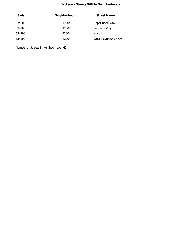| <b>Swis</b> | <b>Neighborhood</b> | <b>Street Name</b>  |
|-------------|---------------------|---------------------|
| 534200      | 42004               | Upper Road Way      |
| 534200      | 42004               | Voerman Way         |
| 534200      | 42004               | Ward Ln             |
| 534200      | 42004               | West Playground Way |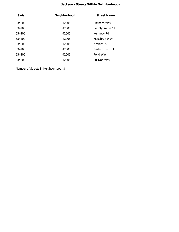| <b>Swis</b> | <b>Neighborhood</b> | <b>Street Name</b> |
|-------------|---------------------|--------------------|
| 534200      | 42005               | Christies Way      |
| 534200      | 42005               | County Route 61    |
| 534200      | 42005               | Kennedy Rd         |
| 534200      | 42005               | Macehren Way       |
| 534200      | 42005               | Nesbitt Ln         |
| 534200      | 42005               | Nesbitt Ln Off E   |
| 534200      | 42005               | Pond Way           |
| 534200      | 42005               | Sullivan Way       |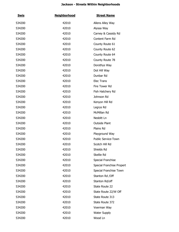| <u>Swis</u> | <b>Neighborhood</b> | <b>Street Name</b>         |
|-------------|---------------------|----------------------------|
| 534200      | 42010               | Allens Alley Way           |
| 534200      | 42010               | Alyssa Way                 |
| 534200      | 42010               | Carney & Cassidy Rd        |
| 534200      | 42010               | Content Farm Rd            |
| 534200      | 42010               | County Route 61            |
| 534200      | 42010               | County Route 62            |
| 534200      | 42010               | County Route 64            |
| 534200      | 42010               | County Route 78            |
| 534200      | 42010               | Dorothys Way               |
| 534200      | 42010               | Dot Hill Way               |
| 534200      | 42010               | Dunbar Rd                  |
| 534200      | 42010               | Elec Trans                 |
| 534200      | 42010               | Fire Tower Rd              |
| 534200      | 42010               | Fish Hatchery Rd           |
| 534200      | 42010               | Johnson Rd                 |
| 534200      | 42010               | Kenyon Hill Rd             |
| 534200      | 42010               | Legrys Rd                  |
| 534200      | 42010               | McMillan Rd                |
| 534200      | 42010               | Nesbitt Ln                 |
| 534200      | 42010               | <b>Outside Plant</b>       |
| 534200      | 42010               | Plains Rd                  |
| 534200      | 42010               | Playground Way             |
| 534200      | 42010               | <b>Public Service-Town</b> |
| 534200      | 42010               | Scotch Hill Rd             |
| 534200      | 42010               | Shields Rd                 |
| 534200      | 42010               | Skellie Rd                 |
| 534200      | 42010               | Special Franchise          |
| 534200      | 42010               | Special Franchise Propert  |
| 534200      | 42010               | Special Franchise Town     |
| 534200      | 42010               | Stanton Rd / Off           |
| 534200      | 42010               | Stanton Rd/off             |
| 534200      | 42010               | State Route 22             |
| 534200      | 42010               | State Route 22/W Off       |
| 534200      | 42010               | State Route 313            |
| 534200      | 42010               | State Route 372            |
| 534200      | 42010               | Voerman Way                |
| 534200      | 42010               | <b>Water Supply</b>        |
| 534200      | 42010               | Wood Ln                    |